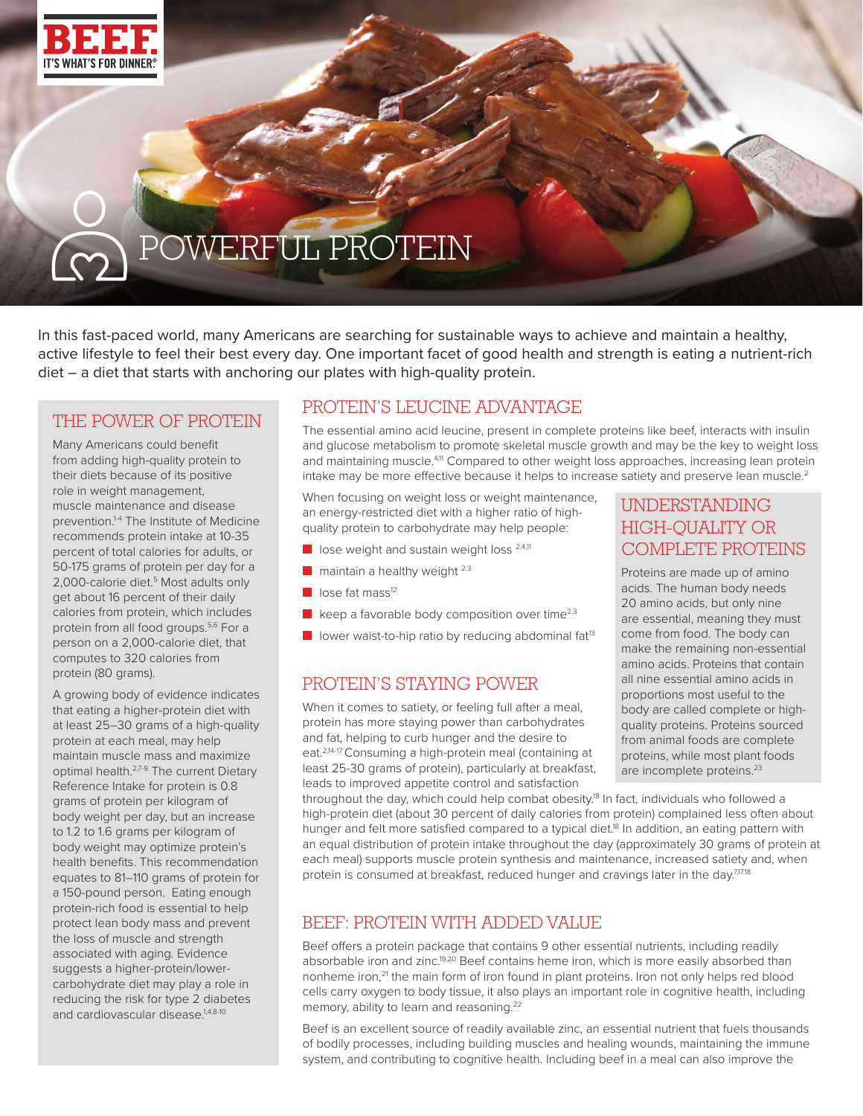

RECIPE STATISTICS CONTINUES COOKING NUTRITION CONTINUES OF THE RECORD OF THE RECORD OF THE RECORD OF THE RECORD OF THE RECORD OF THE RECORD OF THE RECORD OF THE RECORD OF THE RECORD OF THE RECORD OF THE RECORD OF THE RECOR

# POWERFUL PROTEIN

In this fast-paced world, many Americans are searching for sustainable ways to achieve and maintain a healthy, active lifestyle to feel their best every day. One important facet of good health and strength is eating a nutrient-rich diet – a diet that starts with anchoring our plates with high-quality protein.

## THE POWER OF PROTEIN

Many Americans could benefit from adding high-quality protein to their diets because of its positive role in weight management, muscle maintenance and disease prevention.<sup>1-4</sup> The Institute of Medicine recommends protein intake at 10-35 percent of total calories for adults, or 50-175 grams of protein per day for a 2,000-calorie diet.<sup>5</sup> Most adults only get about 16 percent of their daily calories from protein, which includes protein from all food groups.<sup>5,6</sup> For a person on a 2,000-calorie diet, that computes to 320 calories from protein (80 grams).

A growing body of evidence indicates that eating a higher-protein diet with at least 25–30 grams of a high-quality protein at each meal, may help maintain muscle mass and maximize optimal health.<sup>2,7-9</sup> The current Dietary Reference Intake for protein is 0.8 grams of protein per kilogram of body weight per day, but an increase to 1.2 to 1.6 grams per kilogram of body weight may optimize protein's health benefits. This recommendation equates to 81–110 grams of protein for a 150-pound person. Eating enough protein-rich food is essential to help protect lean body mass and prevent the loss of muscle and strength associated with aging. Evidence suggests a higher-protein/lowercarbohydrate diet may play a role in reducing the risk for type 2 diabetes and cardiovascular disease.<sup>1,4,8-10</sup>

## PROTEIN'S LEUCINE ADVANTAGE

The essential amino acid leucine, present in complete proteins like beef, interacts with insulin and glucose metabolism to promote skeletal muscle growth and may be the key to weight loss and maintaining muscle.<sup>4,11</sup> Compared to other weight loss approaches, increasing lean protein intake may be more effective because it helps to increase satiety and preserve lean muscle. $2$ 

When focusing on weight loss or weight maintenance, an energy-restricted diet with a higher ratio of highquality protein to carbohydrate may help people:

- $\Box$  lose weight and sustain weight loss  $^{2,4,11}$
- $\blacksquare$  maintain a healthy weight  $^{2,3}$
- $\blacksquare$  lose fat mass<sup>12</sup>
- $\blacksquare$  keep a favorable body composition over time<sup>2,3</sup>
- lower waist-to-hip ratio by reducing abdominal fat<sup>13</sup>

## PROTEIN'S STAYING POWER

When it comes to satiety, or feeling full after a meal, protein has more staying power than carbohydrates and fat, helping to curb hunger and the desire to eat.2,14-17 Consuming a high-protein meal (containing at least 25-30 grams of protein), particularly at breakfast, leads to improved appetite control and satisfaction

## UNDERSTANDING HIGH-QUALITY OR COMPLETE PROTEINS

Proteins are made up of amino acids. The human body needs 20 amino acids, but only nine are essential, meaning they must come from food. The body can make the remaining non-essential amino acids. Proteins that contain all nine essential amino acids in proportions most useful to the body are called complete or highquality proteins. Proteins sourced from animal foods are complete proteins, while most plant foods are incomplete proteins.<sup>23</sup>

throughout the day, which could help combat obesity.<sup>18</sup> In fact, individuals who followed a high-protein diet (about 30 percent of daily calories from protein) complained less often about hunger and felt more satisfied compared to a typical diet.<sup>18</sup> In addition, an eating pattern with an equal distribution of protein intake throughout the day (approximately 30 grams of protein at each meal) supports muscle protein synthesis and maintenance, increased satiety and, when protein is consumed at breakfast, reduced hunger and cravings later in the day.7,17,18

## BEEF: PROTEIN WITH ADDED VALUE

Beef offers a protein package that contains 9 other essential nutrients, including readily absorbable iron and zinc.<sup>19,20</sup> Beef contains heme iron, which is more easily absorbed than nonheme iron,<sup>21</sup> the main form of iron found in plant proteins. Iron not only helps red blood cells carry oxygen to body tissue, it also plays an important role in cognitive health, including memory, ability to learn and reasoning.<sup>22</sup>

Beef is an excellent source of readily available zinc, an essential nutrient that fuels thousands of bodily processes, including building muscles and healing wounds, maintaining the immune system, and contributing to cognitive health. Including beef in a meal can also improve the